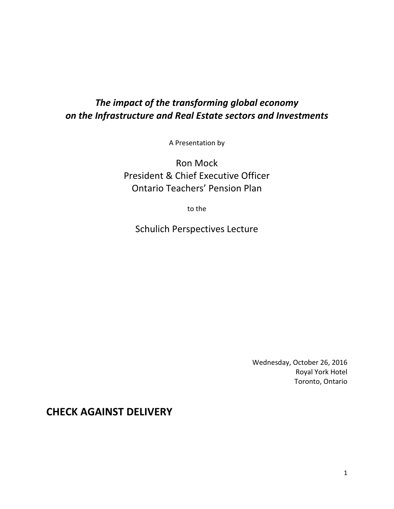# *The impact of the transforming global economy on the Infrastructure and Real Estate sectors and Investments*

A Presentation by

Ron Mock President & Chief Executive Officer Ontario Teachers' Pension Plan

to the

Schulich Perspectives Lecture

Wednesday, October 26, 2016 Royal York Hotel Toronto, Ontario

**CHECK AGAINST DELIVERY**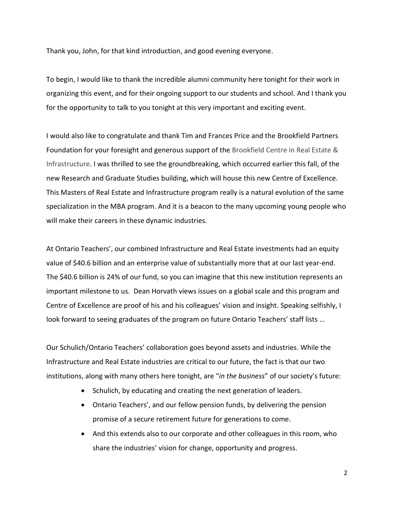Thank you, John, for that kind introduction, and good evening everyone.

To begin, I would like to thank the incredible alumni community here tonight for their work in organizing this event, and for their ongoing support to our students and school. And I thank you for the opportunity to talk to you tonight at this very important and exciting event.

I would also like to congratulate and thank Tim and Frances Price and the Brookfield Partners Foundation for your foresight and generous support of the Brookfield Centre in Real Estate & Infrastructure. I was thrilled to see the groundbreaking, which occurred earlier this fall, of the new Research and Graduate Studies building, which will house this new Centre of Excellence. This Masters of Real Estate and Infrastructure program really is a natural evolution of the same specialization in the MBA program. And it is a beacon to the many upcoming young people who will make their careers in these dynamic industries.

At Ontario Teachers', our combined Infrastructure and Real Estate investments had an equity value of \$40.6 billion and an enterprise value of substantially more that at our last year-end. The \$40.6 billion is 24% of our fund, so you can imagine that this new institution represents an important milestone to us. Dean Horvath views issues on a global scale and this program and Centre of Excellence are proof of his and his colleagues' vision and insight. Speaking selfishly, I look forward to seeing graduates of the program on future Ontario Teachers' staff lists …

Our Schulich/Ontario Teachers' collaboration goes beyond assets and industries. While the Infrastructure and Real Estate industries are critical to our future, the fact is that our two institutions, along with many others here tonight, are "*in the business*" of our society's future:

- Schulich, by educating and creating the next generation of leaders.
- Ontario Teachers', and our fellow pension funds, by delivering the pension promise of a secure retirement future for generations to come.
- And this extends also to our corporate and other colleagues in this room, who share the industries' vision for change, opportunity and progress.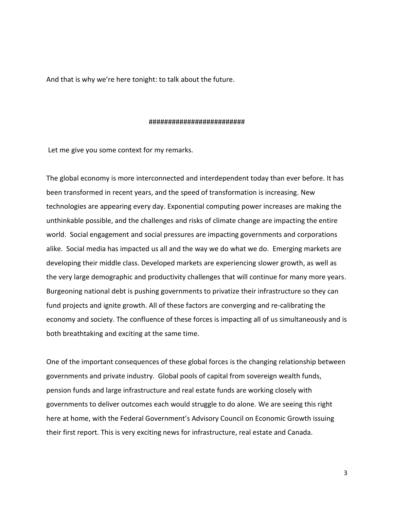And that is why we're here tonight: to talk about the future.

#### #########################

Let me give you some context for my remarks.

The global economy is more interconnected and interdependent today than ever before. It has been transformed in recent years, and the speed of transformation is increasing. New technologies are appearing every day. Exponential computing power increases are making the unthinkable possible, and the challenges and risks of climate change are impacting the entire world. Social engagement and social pressures are impacting governments and corporations alike. Social media has impacted us all and the way we do what we do. Emerging markets are developing their middle class. Developed markets are experiencing slower growth, as well as the very large demographic and productivity challenges that will continue for many more years. Burgeoning national debt is pushing governments to privatize their infrastructure so they can fund projects and ignite growth. All of these factors are converging and re-calibrating the economy and society. The confluence of these forces is impacting all of us simultaneously and is both breathtaking and exciting at the same time.

One of the important consequences of these global forces is the changing relationship between governments and private industry. Global pools of capital from sovereign wealth funds, pension funds and large infrastructure and real estate funds are working closely with governments to deliver outcomes each would struggle to do alone. We are seeing this right here at home, with the Federal Government's Advisory Council on Economic Growth issuing their first report. This is very exciting news for infrastructure, real estate and Canada.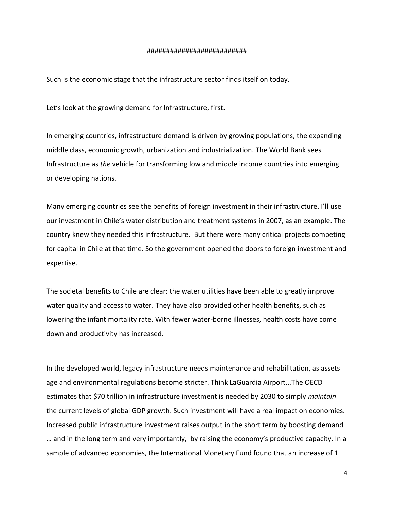#### ##########################

Such is the economic stage that the infrastructure sector finds itself on today.

Let's look at the growing demand for Infrastructure, first.

In emerging countries, infrastructure demand is driven by growing populations, the expanding middle class, economic growth, urbanization and industrialization. The World Bank sees Infrastructure as *the* vehicle for transforming low and middle income countries into emerging or developing nations.

Many emerging countries see the benefits of foreign investment in their infrastructure. I'll use our investment in Chile's water distribution and treatment systems in 2007, as an example. The country knew they needed this infrastructure. But there were many critical projects competing for capital in Chile at that time. So the government opened the doors to foreign investment and expertise.

The societal benefits to Chile are clear: the water utilities have been able to greatly improve water quality and access to water. They have also provided other health benefits, such as lowering the infant mortality rate. With fewer water-borne illnesses, health costs have come down and productivity has increased.

In the developed world, legacy infrastructure needs maintenance and rehabilitation, as assets age and environmental regulations become stricter. Think LaGuardia Airport...The OECD estimates that \$70 trillion in infrastructure investment is needed by 2030 to simply *maintain* the current levels of global GDP growth. Such investment will have a real impact on economies. Increased public infrastructure investment raises output in the short term by boosting demand … and in the long term and very importantly, by raising the economy's productive capacity. In a sample of advanced economies, the International Monetary Fund found that an increase of 1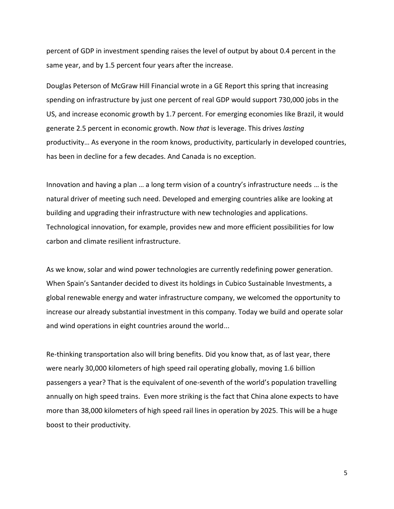percent of GDP in investment spending raises the level of output by about 0.4 percent in the same year, and by 1.5 percent four years after the increase.

Douglas Peterson of McGraw Hill Financial wrote in a GE Report this spring that increasing spending on infrastructure by just one percent of real GDP would support 730,000 jobs in the US, and increase economic growth by 1.7 percent. For emerging economies like Brazil, it would generate 2.5 percent in economic growth. Now *that* is leverage. This drives *lasting* productivity… As everyone in the room knows, productivity, particularly in developed countries, has been in decline for a few decades. And Canada is no exception.

Innovation and having a plan … a long term vision of a country's infrastructure needs … is the natural driver of meeting such need. Developed and emerging countries alike are looking at building and upgrading their infrastructure with new technologies and applications. Technological innovation, for example, provides new and more efficient possibilities for low carbon and climate resilient infrastructure.

As we know, solar and wind power technologies are currently redefining power generation. When Spain's Santander decided to divest its holdings in Cubico Sustainable Investments, a global renewable energy and water infrastructure company, we welcomed the opportunity to increase our already substantial investment in this company. Today we build and operate solar and wind operations in eight countries around the world...

Re-thinking transportation also will bring benefits. Did you know that, as of last year, there were nearly 30,000 kilometers of high speed rail operating globally, moving 1.6 billion passengers a year? That is the equivalent of one-seventh of the world's population travelling annually on high speed trains. Even more striking is the fact that China alone expects to have more than 38,000 kilometers of high speed rail lines in operation by 2025. This will be a huge boost to their productivity.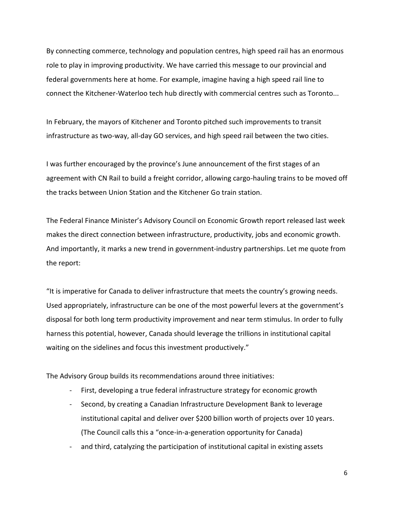By connecting commerce, technology and population centres, high speed rail has an enormous role to play in improving productivity. We have carried this message to our provincial and federal governments here at home. For example, imagine having a high speed rail line to connect the Kitchener-Waterloo tech hub directly with commercial centres such as Toronto...

In February, the mayors of Kitchener and Toronto pitched such improvements to transit infrastructure as two-way, all-day GO services, and high speed rail between the two cities.

I was further encouraged by the province's June announcement of the first stages of an agreement with CN Rail to build a freight corridor, allowing cargo-hauling trains to be moved off the tracks between Union Station and the Kitchener Go train station.

The Federal Finance Minister's Advisory Council on Economic Growth report released last week makes the direct connection between infrastructure, productivity, jobs and economic growth. And importantly, it marks a new trend in government-industry partnerships. Let me quote from the report:

"It is imperative for Canada to deliver infrastructure that meets the country's growing needs. Used appropriately, infrastructure can be one of the most powerful levers at the government's disposal for both long term productivity improvement and near term stimulus. In order to fully harness this potential, however, Canada should leverage the trillions in institutional capital waiting on the sidelines and focus this investment productively."

The Advisory Group builds its recommendations around three initiatives:

- First, developing a true federal infrastructure strategy for economic growth
- Second, by creating a Canadian Infrastructure Development Bank to leverage institutional capital and deliver over \$200 billion worth of projects over 10 years. (The Council calls this a "once-in-a-generation opportunity for Canada)
- and third, catalyzing the participation of institutional capital in existing assets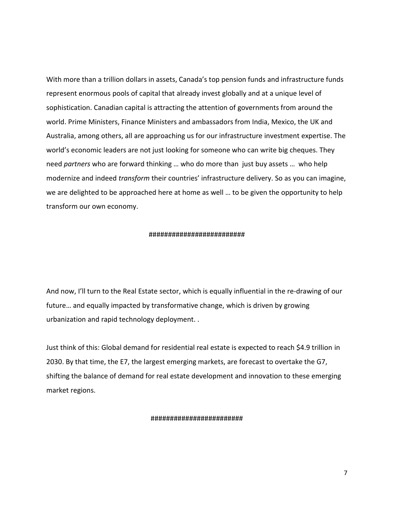With more than a trillion dollars in assets, Canada's top pension funds and infrastructure funds represent enormous pools of capital that already invest globally and at a unique level of sophistication. Canadian capital is attracting the attention of governments from around the world. Prime Ministers, Finance Ministers and ambassadors from India, Mexico, the UK and Australia, among others, all are approaching us for our infrastructure investment expertise. The world's economic leaders are not just looking for someone who can write big cheques. They need *partners* who are forward thinking … who do more than just buy assets … who help modernize and indeed *transform* their countries' infrastructure delivery. So as you can imagine, we are delighted to be approached here at home as well … to be given the opportunity to help transform our own economy.

#### #########################

And now, I'll turn to the Real Estate sector, which is equally influential in the re-drawing of our future… and equally impacted by transformative change, which is driven by growing urbanization and rapid technology deployment. .

Just think of this: Global demand for residential real estate is expected to reach \$4.9 trillion in 2030. By that time, the E7, the largest emerging markets, are forecast to overtake the G7, shifting the balance of demand for real estate development and innovation to these emerging market regions.

#### ########################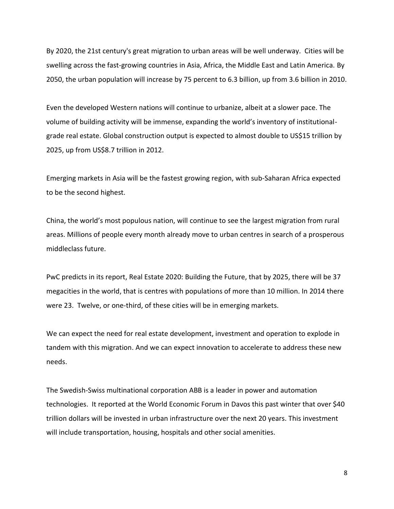By 2020, the 21st century's great migration to urban areas will be well underway. Cities will be swelling across the fast-growing countries in Asia, Africa, the Middle East and Latin America. By 2050, the urban population will increase by 75 percent to 6.3 billion, up from 3.6 billion in 2010.

Even the developed Western nations will continue to urbanize, albeit at a slower pace. The volume of building activity will be immense, expanding the world's inventory of institutionalgrade real estate. Global construction output is expected to almost double to US\$15 trillion by 2025, up from US\$8.7 trillion in 2012.

Emerging markets in Asia will be the fastest growing region, with sub-Saharan Africa expected to be the second highest.

China, the world's most populous nation, will continue to see the largest migration from rural areas. Millions of people every month already move to urban centres in search of a prosperous middleclass future.

PwC predicts in its report, Real Estate 2020: Building the Future, that by 2025, there will be 37 megacities in the world, that is centres with populations of more than 10 million. In 2014 there were 23. Twelve, or one-third, of these cities will be in emerging markets.

We can expect the need for real estate development, investment and operation to explode in tandem with this migration. And we can expect innovation to accelerate to address these new needs.

The Swedish-Swiss multinational corporation ABB is a leader in power and automation technologies. It reported at the World Economic Forum in Davos this past winter that over \$40 trillion dollars will be invested in urban infrastructure over the next 20 years. This investment will include transportation, housing, hospitals and other social amenities.

8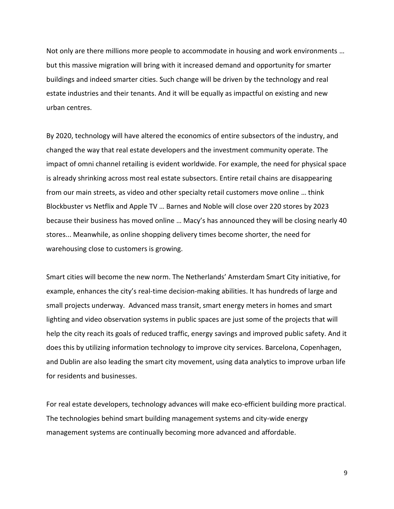Not only are there millions more people to accommodate in housing and work environments … but this massive migration will bring with it increased demand and opportunity for smarter buildings and indeed smarter cities. Such change will be driven by the technology and real estate industries and their tenants. And it will be equally as impactful on existing and new urban centres.

By 2020, technology will have altered the economics of entire subsectors of the industry, and changed the way that real estate developers and the investment community operate. The impact of omni channel retailing is evident worldwide. For example, the need for physical space is already shrinking across most real estate subsectors. Entire retail chains are disappearing from our main streets, as video and other specialty retail customers move online … think Blockbuster vs Netflix and Apple TV … Barnes and Noble will close over 220 stores by 2023 because their business has moved online … Macy's has announced they will be closing nearly 40 stores... Meanwhile, as online shopping delivery times become shorter, the need for warehousing close to customers is growing.

Smart cities will become the new norm. The Netherlands' Amsterdam Smart City initiative, for example, enhances the city's real-time decision-making abilities. It has hundreds of large and small projects underway. Advanced mass transit, smart energy meters in homes and smart lighting and video observation systems in public spaces are just some of the projects that will help the city reach its goals of reduced traffic, energy savings and improved public safety. And it does this by utilizing information technology to improve city services. Barcelona, Copenhagen, and Dublin are also leading the smart city movement, using data analytics to improve urban life for residents and businesses.

For real estate developers, technology advances will make eco-efficient building more practical. The technologies behind smart building management systems and city-wide energy management systems are continually becoming more advanced and affordable.

9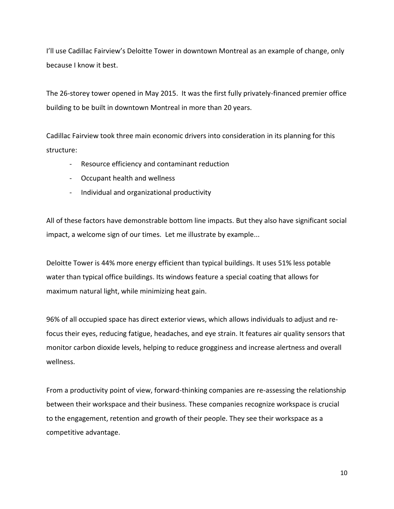I'll use Cadillac Fairview's Deloitte Tower in downtown Montreal as an example of change, only because I know it best.

The 26-storey tower opened in May 2015. It was the first fully privately-financed premier office building to be built in downtown Montreal in more than 20 years.

Cadillac Fairview took three main economic drivers into consideration in its planning for this structure:

- Resource efficiency and contaminant reduction
- Occupant health and wellness
- Individual and organizational productivity

All of these factors have demonstrable bottom line impacts. But they also have significant social impact, a welcome sign of our times. Let me illustrate by example...

Deloitte Tower is 44% more energy efficient than typical buildings. It uses 51% less potable water than typical office buildings. Its windows feature a special coating that allows for maximum natural light, while minimizing heat gain.

96% of all occupied space has direct exterior views, which allows individuals to adjust and refocus their eyes, reducing fatigue, headaches, and eye strain. It features air quality sensors that monitor carbon dioxide levels, helping to reduce grogginess and increase alertness and overall wellness.

From a productivity point of view, forward-thinking companies are re-assessing the relationship between their workspace and their business. These companies recognize workspace is crucial to the engagement, retention and growth of their people. They see their workspace as a competitive advantage.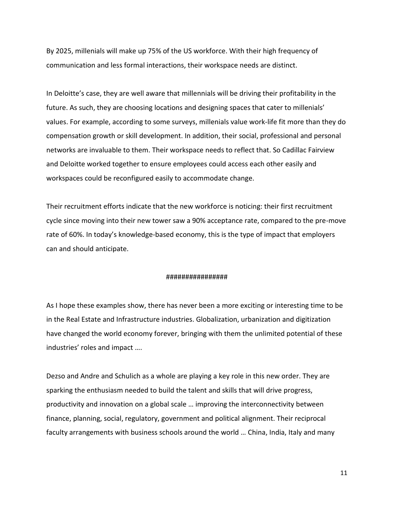By 2025, millenials will make up 75% of the US workforce. With their high frequency of communication and less formal interactions, their workspace needs are distinct.

In Deloitte's case, they are well aware that millennials will be driving their profitability in the future. As such, they are choosing locations and designing spaces that cater to millenials' values. For example, according to some surveys, millenials value work-life fit more than they do compensation growth or skill development. In addition, their social, professional and personal networks are invaluable to them. Their workspace needs to reflect that. So Cadillac Fairview and Deloitte worked together to ensure employees could access each other easily and workspaces could be reconfigured easily to accommodate change.

Their recruitment efforts indicate that the new workforce is noticing: their first recruitment cycle since moving into their new tower saw a 90% acceptance rate, compared to the pre-move rate of 60%. In today's knowledge-based economy, this is the type of impact that employers can and should anticipate.

### ################

As I hope these examples show, there has never been a more exciting or interesting time to be in the Real Estate and Infrastructure industries. Globalization, urbanization and digitization have changed the world economy forever, bringing with them the unlimited potential of these industries' roles and impact ….

Dezso and Andre and Schulich as a whole are playing a key role in this new order. They are sparking the enthusiasm needed to build the talent and skills that will drive progress, productivity and innovation on a global scale … improving the interconnectivity between finance, planning, social, regulatory, government and political alignment. Their reciprocal faculty arrangements with business schools around the world … China, India, Italy and many